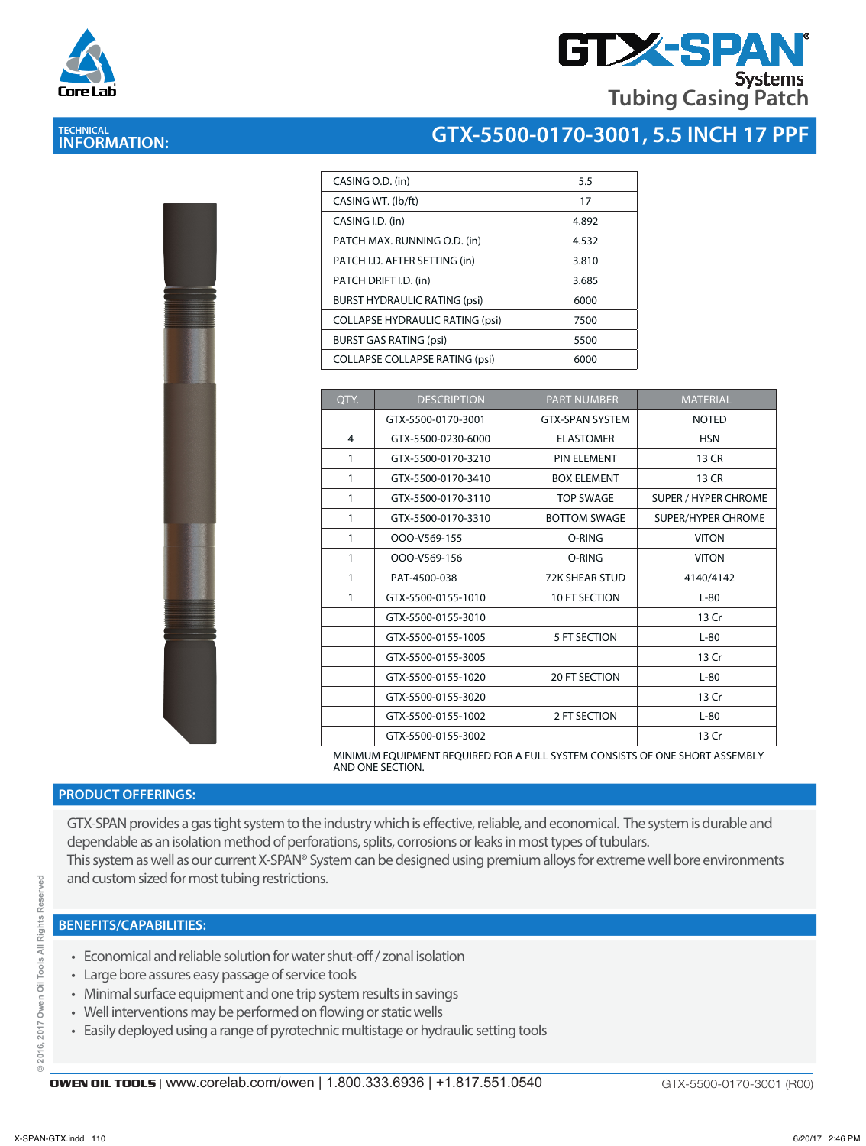



| CASING O.D. (in)                       | 5.5   |
|----------------------------------------|-------|
| CASING WT. (Ib/ft)                     | 17    |
| CASING I.D. (in)                       | 4.892 |
| PATCH MAX. RUNNING O.D. (in)           | 4.532 |
| PATCH I.D. AFTER SETTING (in)          | 3.810 |
| PATCH DRIFT I.D. (in)                  | 3.685 |
| <b>BURST HYDRAULIC RATING (psi)</b>    | 6000  |
| <b>COLLAPSE HYDRAULIC RATING (psi)</b> | 7500  |
| <b>BURST GAS RATING (psi)</b>          | 5500  |
| <b>COLLAPSE COLLAPSE RATING (psi)</b>  | 6000  |
|                                        |       |

| QTY. | <b>DESCRIPTION</b> | <b>PART NUMBER</b>     | <b>MATERIAL</b>             |
|------|--------------------|------------------------|-----------------------------|
|      | GTX-5500-0170-3001 | <b>GTX-SPAN SYSTEM</b> | <b>NOTED</b>                |
| 4    | GTX-5500-0230-6000 | <b>ELASTOMER</b>       | <b>HSN</b>                  |
| 1    | GTX-5500-0170-3210 | PIN ELEMENT            | 13 CR                       |
| 1    | GTX-5500-0170-3410 | <b>BOX ELEMENT</b>     | 13 CR                       |
| 1    | GTX-5500-0170-3110 | <b>TOP SWAGE</b>       | <b>SUPER / HYPER CHROME</b> |
| 1    | GTX-5500-0170-3310 | <b>BOTTOM SWAGE</b>    | <b>SUPER/HYPER CHROME</b>   |
| 1    | OOO-V569-155       | O-RING                 | <b>VITON</b>                |
| 1    | OOO-V569-156       | O-RING                 | <b>VITON</b>                |
| 1    | PAT-4500-038       | <b>72K SHEAR STUD</b>  | 4140/4142                   |
| 1    | GTX-5500-0155-1010 | 10 FT SECTION          | $L-80$                      |
|      | GTX-5500-0155-3010 |                        | 13 Cr                       |
|      | GTX-5500-0155-1005 | 5 FT SECTION           | $L-80$                      |
|      | GTX-5500-0155-3005 |                        | 13 Cr                       |
|      | GTX-5500-0155-1020 | <b>20 FT SECTION</b>   | $L-80$                      |
|      | GTX-5500-0155-3020 |                        | 13 Cr                       |
|      | GTX-5500-0155-1002 | 2 FT SECTION           | $L-80$                      |
|      | GTX-5500-0155-3002 |                        | 13 Cr                       |

MINIMUM EQUIPMENT REQUIRED FOR A FULL SYSTEM CONSISTS OF ONE SHORT ASSEMBLY AND ONE SECTION.

## **PRODUCT OFFERINGS:**

GTX-SPAN provides a gas tight system to the industry which is effective, reliable, and economical. The system is durable and dependable as an isolation method of perforations, splits, corrosions or leaks in most types of tubulars. This system as well as our current X-SPAN® System can be designed using premium alloys for extreme well bore environments and custom sized for most tubing restrictions.

## **BENEFITS/CAPABILITIES:**

- Economical and reliable solution for water shut-off / zonal isolation
- Large bore assures easy passage of service tools
- Minimal surface equipment and one trip system results in savings
- Well interventions may be performed on flowing or static wells
- Easily deployed using a range of pyrotechnic multistage or hydraulic setting tools



ă



**TECHNICAL INFORMATION:**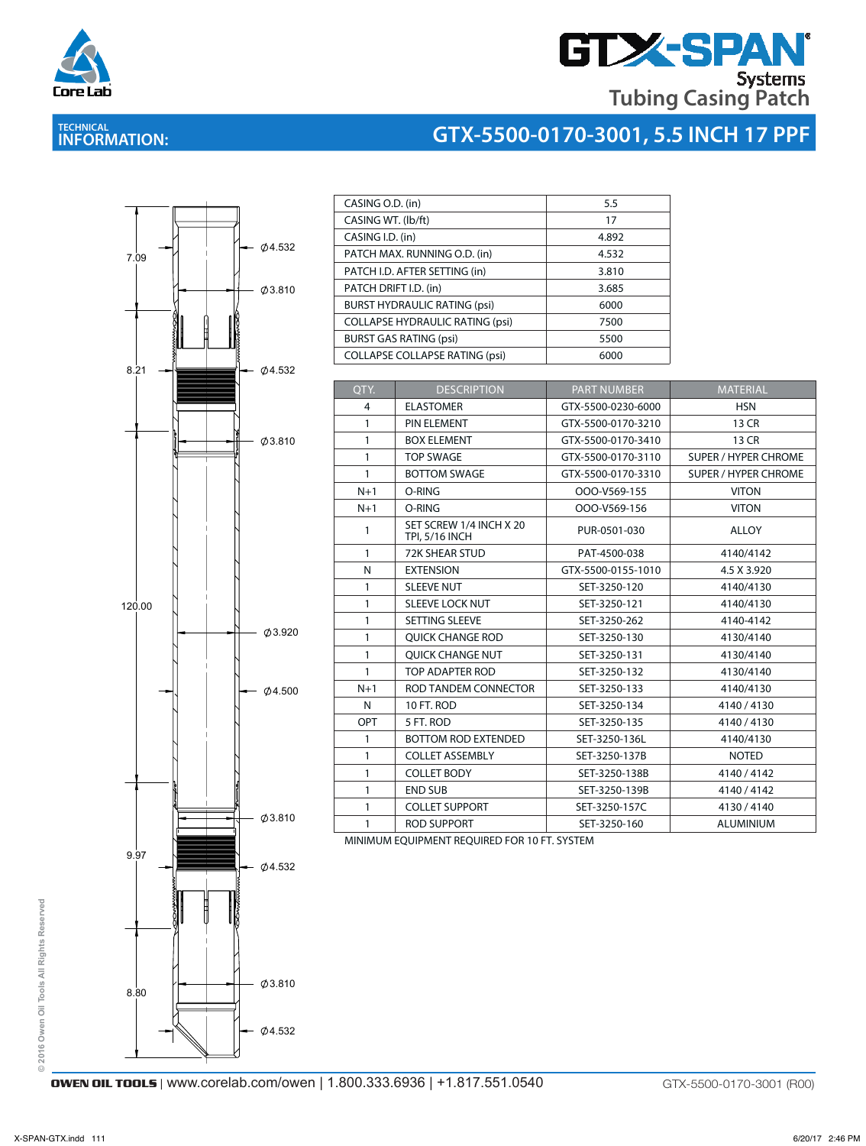

# **GTX-SPAN Tubing Casing Patch**

## **TECHNICAL INFORMATION:**





| CASING O.D. (in)                       | 5.5   |
|----------------------------------------|-------|
| CASING WT. (lb/ft)                     | 17    |
| CASING I.D. (in)                       | 4.892 |
| PATCH MAX. RUNNING O.D. (in)           | 4.532 |
| PATCH I.D. AFTER SETTING (in)          | 3.810 |
| PATCH DRIFT I.D. (in)                  | 3.685 |
| <b>BURST HYDRAULIC RATING (psi)</b>    | 6000  |
| <b>COLLAPSE HYDRAULIC RATING (psi)</b> | 7500  |
| <b>BURST GAS RATING (psi)</b>          | 5500  |
| <b>COLLAPSE COLLAPSE RATING (psi)</b>  | 6000  |

| OTY.           | <b>DESCRIPTION</b>                               | <b>PART NUMBER</b> | <b>MATERIAL</b>             |
|----------------|--------------------------------------------------|--------------------|-----------------------------|
| $\overline{4}$ | <b>ELASTOMER</b>                                 | GTX-5500-0230-6000 | <b>HSN</b>                  |
| $\mathbf{1}$   | PIN ELEMENT                                      | GTX-5500-0170-3210 | 13 CR                       |
| $\mathbf{1}$   | <b>BOX ELEMENT</b>                               | GTX-5500-0170-3410 | 13 CR                       |
| $\mathbf{1}$   | <b>TOP SWAGE</b>                                 | GTX-5500-0170-3110 | <b>SUPER / HYPER CHROME</b> |
| $\mathbf{1}$   | <b>BOTTOM SWAGE</b>                              | GTX-5500-0170-3310 | <b>SUPER / HYPER CHROME</b> |
| $N+1$          | O-RING                                           | OOO-V569-155       | <b>VITON</b>                |
| $N+1$          | O-RING                                           | OOO-V569-156       | <b>VITON</b>                |
| 1              | SET SCREW 1/4 INCH X 20<br><b>TPI, 5/16 INCH</b> | PUR-0501-030       | <b>ALLOY</b>                |
| 1              | <b>72K SHEAR STUD</b>                            | PAT-4500-038       | 4140/4142                   |
| N              | <b>EXTENSION</b>                                 | GTX-5500-0155-1010 | 4.5 X 3.920                 |
| $\mathbf{1}$   | <b>SLEEVE NUT</b>                                | SET-3250-120       | 4140/4130                   |
| 1              | <b>SLEEVE LOCK NUT</b>                           | SET-3250-121       | 4140/4130                   |
| 1              | <b>SETTING SLEEVE</b>                            | SET-3250-262       | 4140-4142                   |
| 1              | <b>OUICK CHANGE ROD</b>                          | SET-3250-130       | 4130/4140                   |
| 1              | <b>OUICK CHANGE NUT</b>                          | SET-3250-131       | 4130/4140                   |
| 1              | TOP ADAPTER ROD                                  | SET-3250-132       | 4130/4140                   |
| $N+1$          | ROD TANDEM CONNECTOR                             | SET-3250-133       | 4140/4130                   |
| N              | 10 FT. ROD                                       | SET-3250-134       | 4140/4130                   |
| OPT            | 5 FT. ROD                                        | SET-3250-135       | 4140/4130                   |
| $\mathbf{1}$   | <b>BOTTOM ROD EXTENDED</b>                       | SET-3250-136L      | 4140/4130                   |
| 1              | <b>COLLET ASSEMBLY</b>                           | SET-3250-137B      | <b>NOTED</b>                |
| 1              | <b>COLLET BODY</b>                               | SET-3250-138B      | 4140/4142                   |
| 1              | <b>END SUB</b>                                   | SET-3250-139B      | 4140/4142                   |
| 1              | <b>COLLET SUPPORT</b>                            | SET-3250-157C      | 4130/4140                   |
| 1              | <b>ROD SUPPORT</b>                               | SET-3250-160       | <b>ALUMINIUM</b>            |

MINIMUM EQUIPMENT REQUIRED FOR 10 FT. SYSTEM MINIMUM EQUIPMENT REQUIRED FOR 10 FT. SYSTEM

**OWEN OIL TOOLS** | www.corelab.com/owen | 1.800.333.6936 | +1.817.551.0540 GTX-5500-0170-3001 (R00)

**© 2016 Owen Oil Tools All Rights Reserved**

© 2016 Owen Oil Tools All Rights Reserved